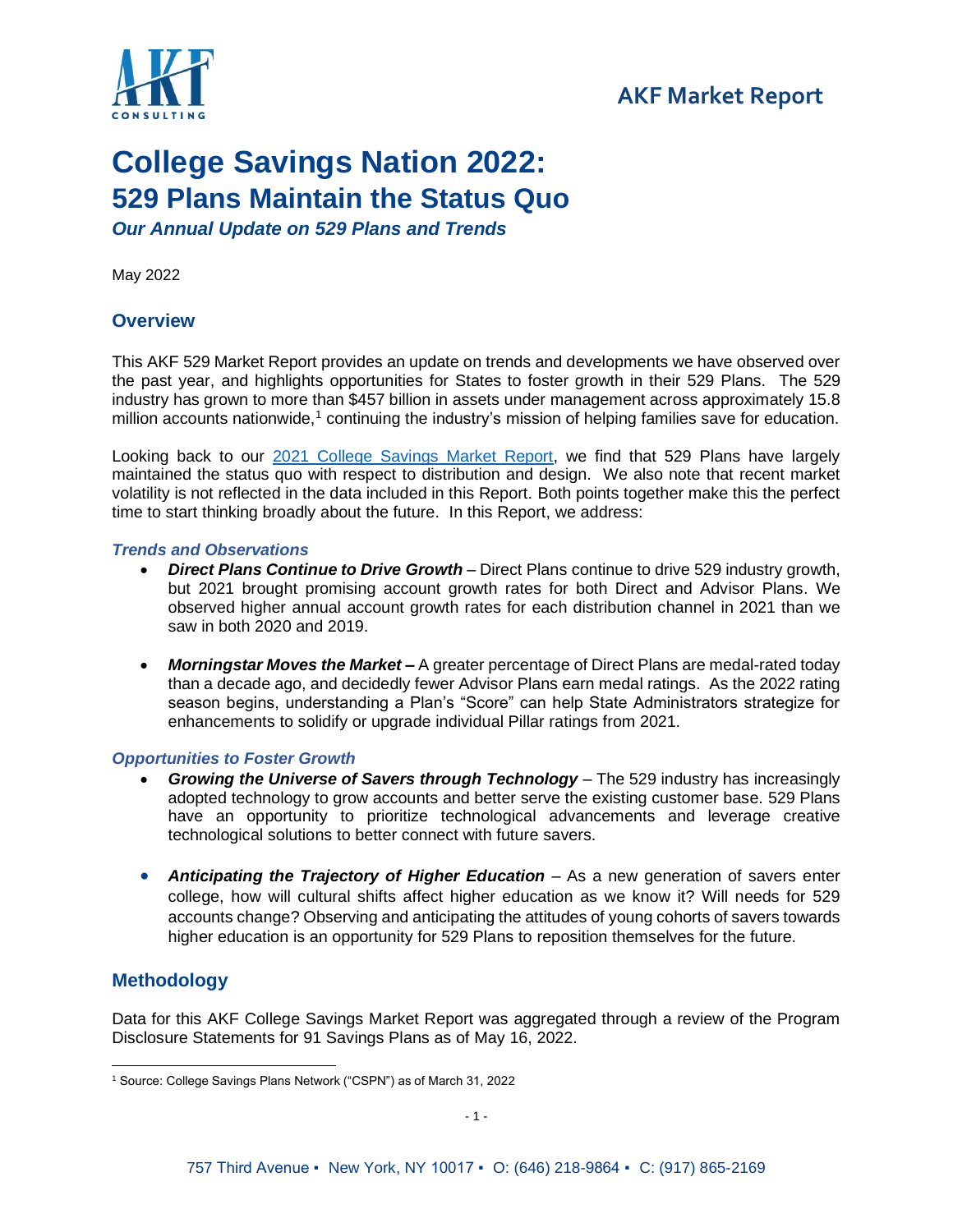

## **AKF Market Report**

# **College Savings Nation 2022: 529 Plans Maintain the Status Quo**

*Our Annual Update on 529 Plans and Trends*

May 2022

## **Overview**

This AKF 529 Market Report provides an update on trends and developments we have observed over the past year, and highlights opportunities for States to foster growth in their 529 Plans. The 529 industry has grown to more than \$457 billion in assets under management across approximately 15.8 million accounts nationwide,<sup>1</sup> continuing the industry's mission of helping families save for education.

Looking back to our [2021 College Savings Market Report,](https://akfconsulting.com/wp-content/uploads/2021-529-Market-Report.pdf) we find that 529 Plans have largely maintained the status quo with respect to distribution and design. We also note that recent market volatility is not reflected in the data included in this Report. Both points together make this the perfect time to start thinking broadly about the future. In this Report, we address:

#### *Trends and Observations*

- *Direct Plans Continue to Drive Growth* Direct Plans continue to drive 529 industry growth, but 2021 brought promising account growth rates for both Direct and Advisor Plans. We observed higher annual account growth rates for each distribution channel in 2021 than we saw in both 2020 and 2019.
- *Morningstar Moves the Market* A greater percentage of Direct Plans are medal-rated today than a decade ago, and decidedly fewer Advisor Plans earn medal ratings. As the 2022 rating season begins, understanding a Plan's "Score" can help State Administrators strategize for enhancements to solidify or upgrade individual Pillar ratings from 2021.

#### *Opportunities to Foster Growth*

- *Growing the Universe of Savers through Technology* The 529 industry has increasingly adopted technology to grow accounts and better serve the existing customer base. 529 Plans have an opportunity to prioritize technological advancements and leverage creative technological solutions to better connect with future savers.
- **Anticipating the Trajectory of Higher Education** As a new generation of savers enter college, how will cultural shifts affect higher education as we know it? Will needs for 529 accounts change? Observing and anticipating the attitudes of young cohorts of savers towards higher education is an opportunity for 529 Plans to reposition themselves for the future.

## **Methodology**

Data for this AKF College Savings Market Report was aggregated through a review of the Program Disclosure Statements for 91 Savings Plans as of May 16, 2022.

<sup>1</sup> Source: College Savings Plans Network ("CSPN") as of March 31, 2022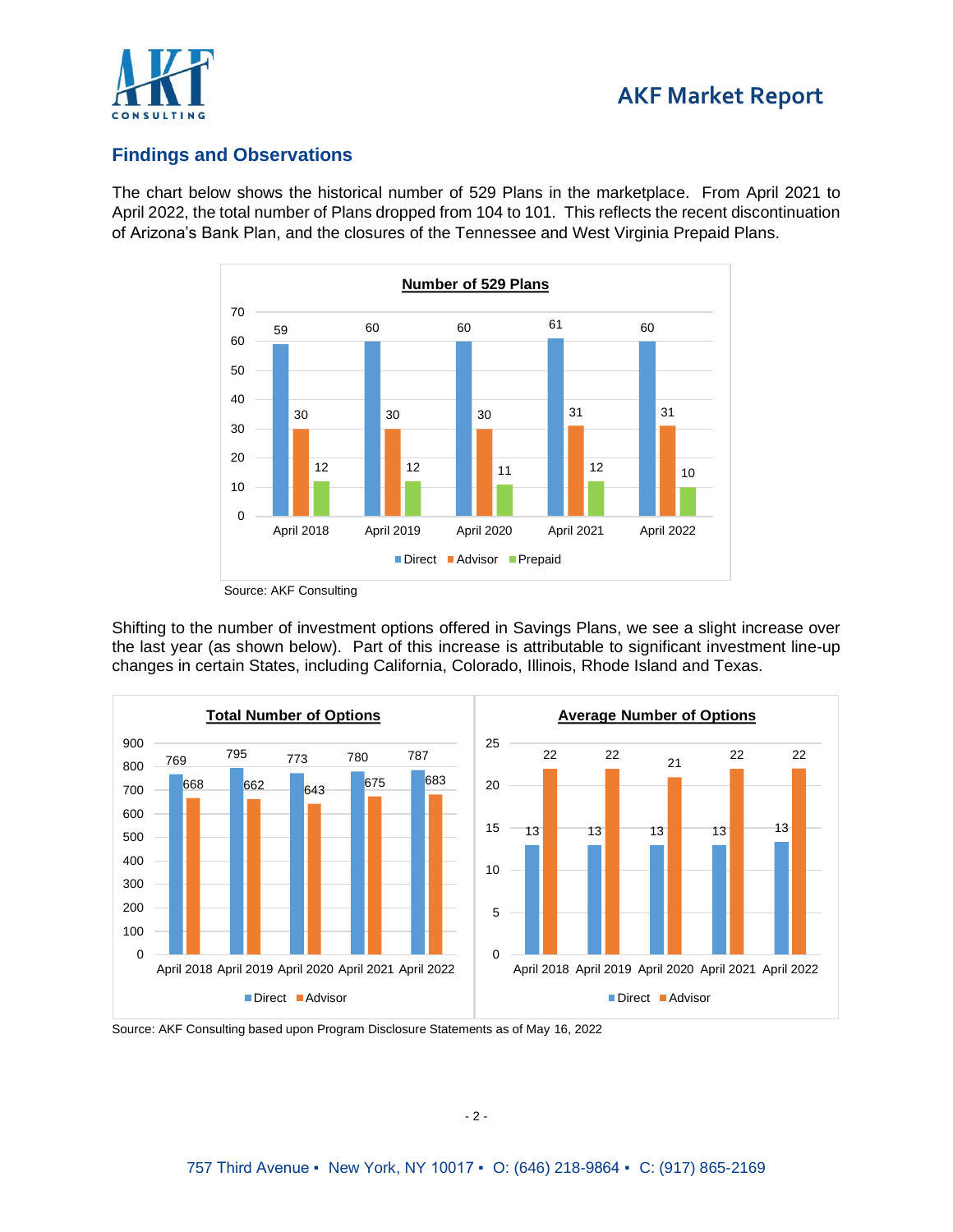

## **Findings and Observations**

The chart below shows the historical number of 529 Plans in the marketplace. From April 2021 to April 2022, the total number of Plans dropped from 104 to 101. This reflects the recent discontinuation of Arizona's Bank Plan, and the closures of the Tennessee and West Virginia Prepaid Plans.



Source: AKF Consulting

Shifting to the number of investment options offered in Savings Plans, we see a slight increase over the last year (as shown below). Part of this increase is attributable to significant investment line-up changes in certain States, including California, Colorado, Illinois, Rhode Island and Texas.



Source: AKF Consulting based upon Program Disclosure Statements as of May 16, 2022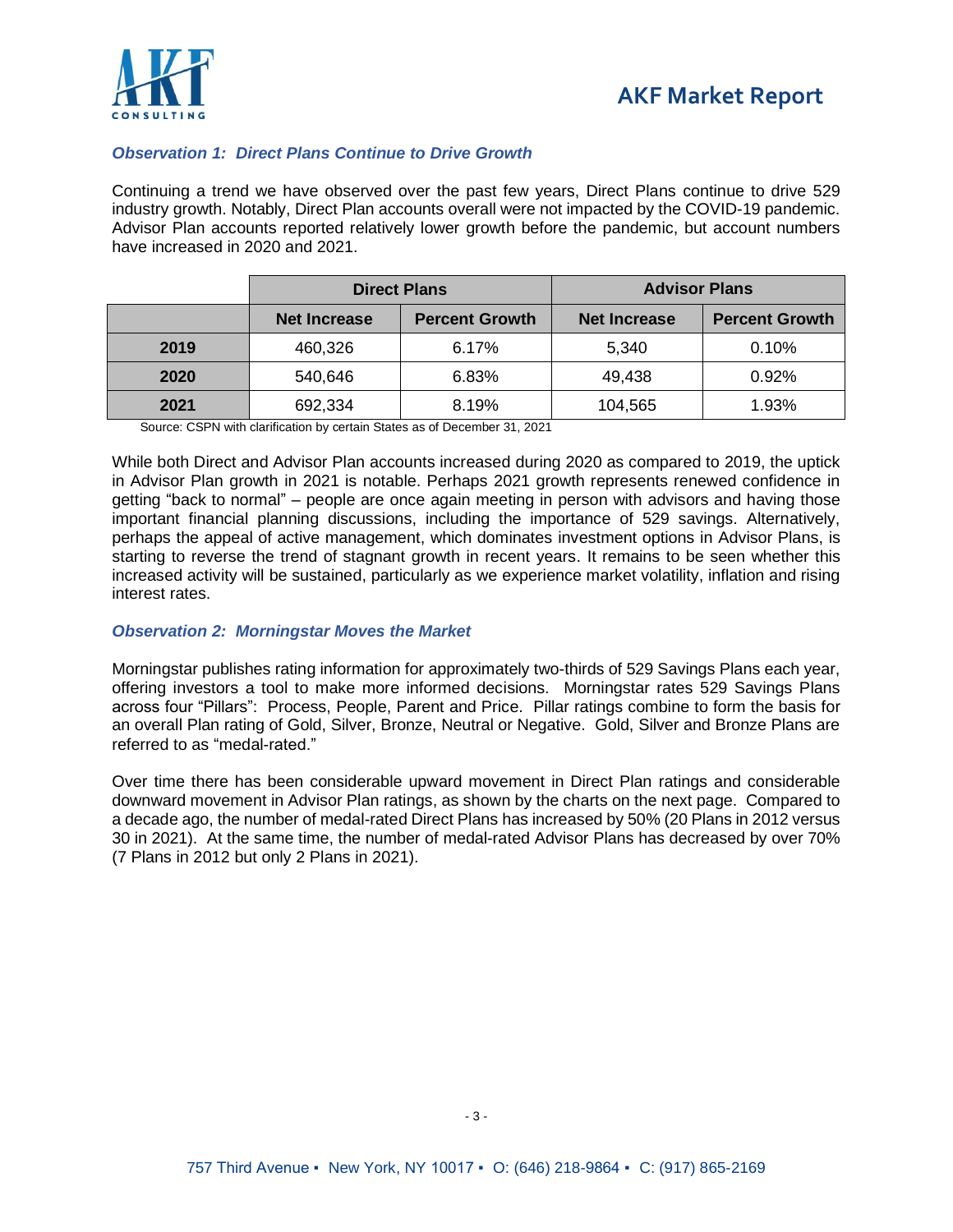



#### *Observation 1: Direct Plans Continue to Drive Growth*

Continuing a trend we have observed over the past few years, Direct Plans continue to drive 529 industry growth. Notably, Direct Plan accounts overall were not impacted by the COVID-19 pandemic. Advisor Plan accounts reported relatively lower growth before the pandemic, but account numbers have increased in 2020 and 2021.

|      | <b>Direct Plans</b> |                       | <b>Advisor Plans</b> |                       |
|------|---------------------|-----------------------|----------------------|-----------------------|
|      | <b>Net Increase</b> | <b>Percent Growth</b> | <b>Net Increase</b>  | <b>Percent Growth</b> |
| 2019 | 460,326             | 6.17%                 | 5,340                | 0.10%                 |
| 2020 | 540,646             | 6.83%                 | 49,438               | 0.92%                 |
| 2021 | 692,334             | 8.19%                 | 104,565              | 1.93%                 |

Source: CSPN with clarification by certain States as of December 31, 2021

While both Direct and Advisor Plan accounts increased during 2020 as compared to 2019, the uptick in Advisor Plan growth in 2021 is notable. Perhaps 2021 growth represents renewed confidence in getting "back to normal" – people are once again meeting in person with advisors and having those important financial planning discussions, including the importance of 529 savings. Alternatively, perhaps the appeal of active management, which dominates investment options in Advisor Plans, is starting to reverse the trend of stagnant growth in recent years. It remains to be seen whether this increased activity will be sustained, particularly as we experience market volatility, inflation and rising interest rates.

#### *Observation 2: Morningstar Moves the Market*

Morningstar publishes rating information for approximately two-thirds of 529 Savings Plans each year, offering investors a tool to make more informed decisions. Morningstar rates 529 Savings Plans across four "Pillars": Process, People, Parent and Price. Pillar ratings combine to form the basis for an overall Plan rating of Gold, Silver, Bronze, Neutral or Negative. Gold, Silver and Bronze Plans are referred to as "medal-rated."

Over time there has been considerable upward movement in Direct Plan ratings and considerable downward movement in Advisor Plan ratings, as shown by the charts on the next page. Compared to a decade ago, the number of medal-rated Direct Plans has increased by 50% (20 Plans in 2012 versus 30 in 2021). At the same time, the number of medal-rated Advisor Plans has decreased by over 70% (7 Plans in 2012 but only 2 Plans in 2021).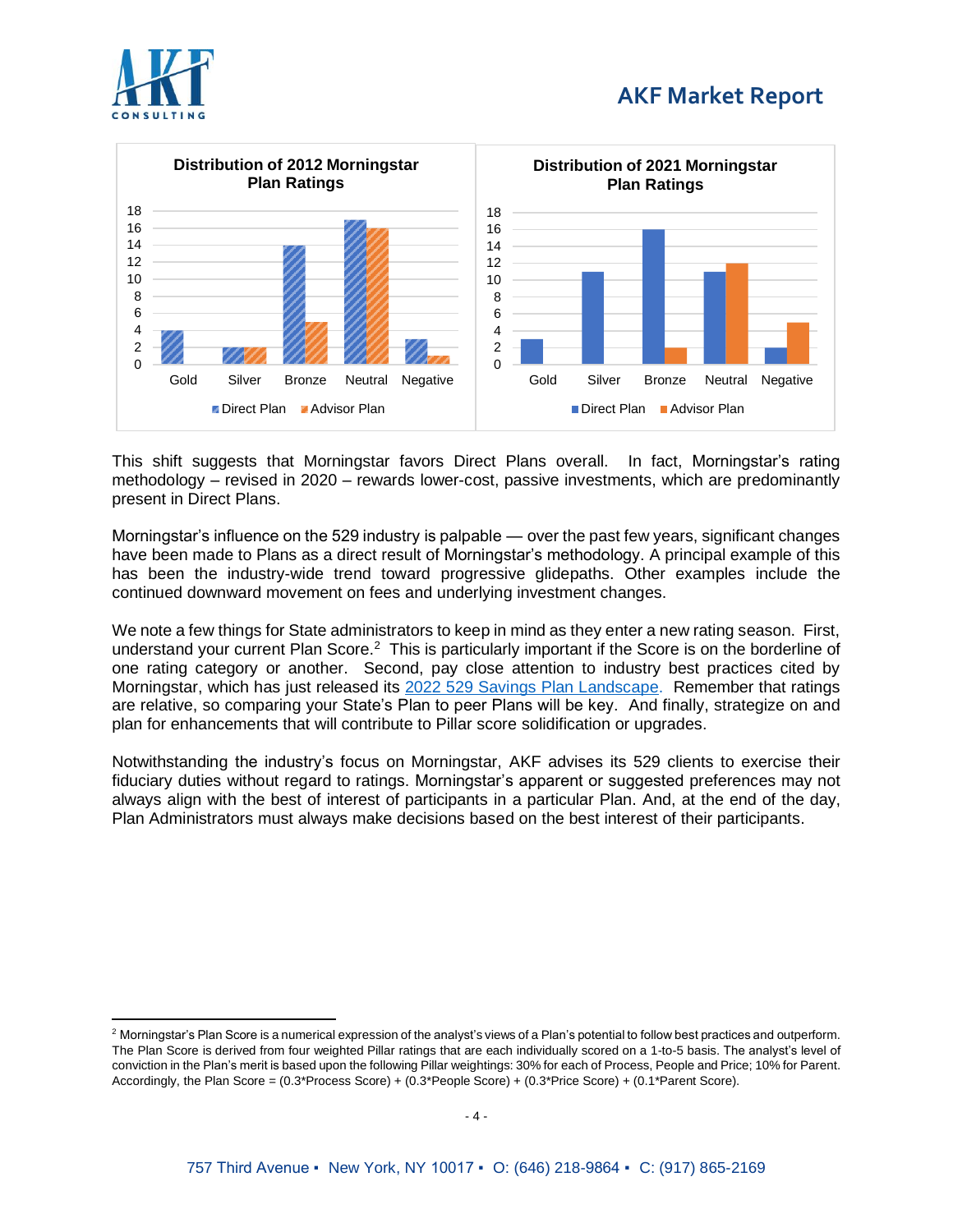



This shift suggests that Morningstar favors Direct Plans overall. In fact, Morningstar's rating methodology – revised in 2020 – rewards lower-cost, passive investments, which are predominantly present in Direct Plans.

Morningstar's influence on the 529 industry is palpable — over the past few years, significant changes have been made to Plans as a direct result of Morningstar's methodology. A principal example of this has been the industry-wide trend toward progressive glidepaths. Other examples include the continued downward movement on fees and underlying investment changes.

We note a few things for State administrators to keep in mind as they enter a new rating season. First, understand your current Plan Score.<sup>2</sup> This is particularly important if the Score is on the borderline of one rating category or another. Second, pay close attention to industry best practices cited by Morningstar, which has just released its [2022 529 Savings Plan Landscape.](https://www.morningstar.com/lp/529-landscape) Remember that ratings are relative, so comparing your State's Plan to peer Plans will be key. And finally, strategize on and plan for enhancements that will contribute to Pillar score solidification or upgrades.

Notwithstanding the industry's focus on Morningstar, AKF advises its 529 clients to exercise their fiduciary duties without regard to ratings. Morningstar's apparent or suggested preferences may not always align with the best of interest of participants in a particular Plan. And, at the end of the day, Plan Administrators must always make decisions based on the best interest of their participants.

 $2$  Morningstar's Plan Score is a numerical expression of the analyst's views of a Plan's potential to follow best practices and outperform. The Plan Score is derived from four weighted Pillar ratings that are each individually scored on a 1-to-5 basis. The analyst's level of conviction in the Plan's merit is based upon the following Pillar weightings: 30% for each of Process, People and Price; 10% for Parent. Accordingly, the Plan Score = (0.3\*Process Score) + (0.3\*People Score) + (0.3\*Price Score) + (0.1\*Parent Score).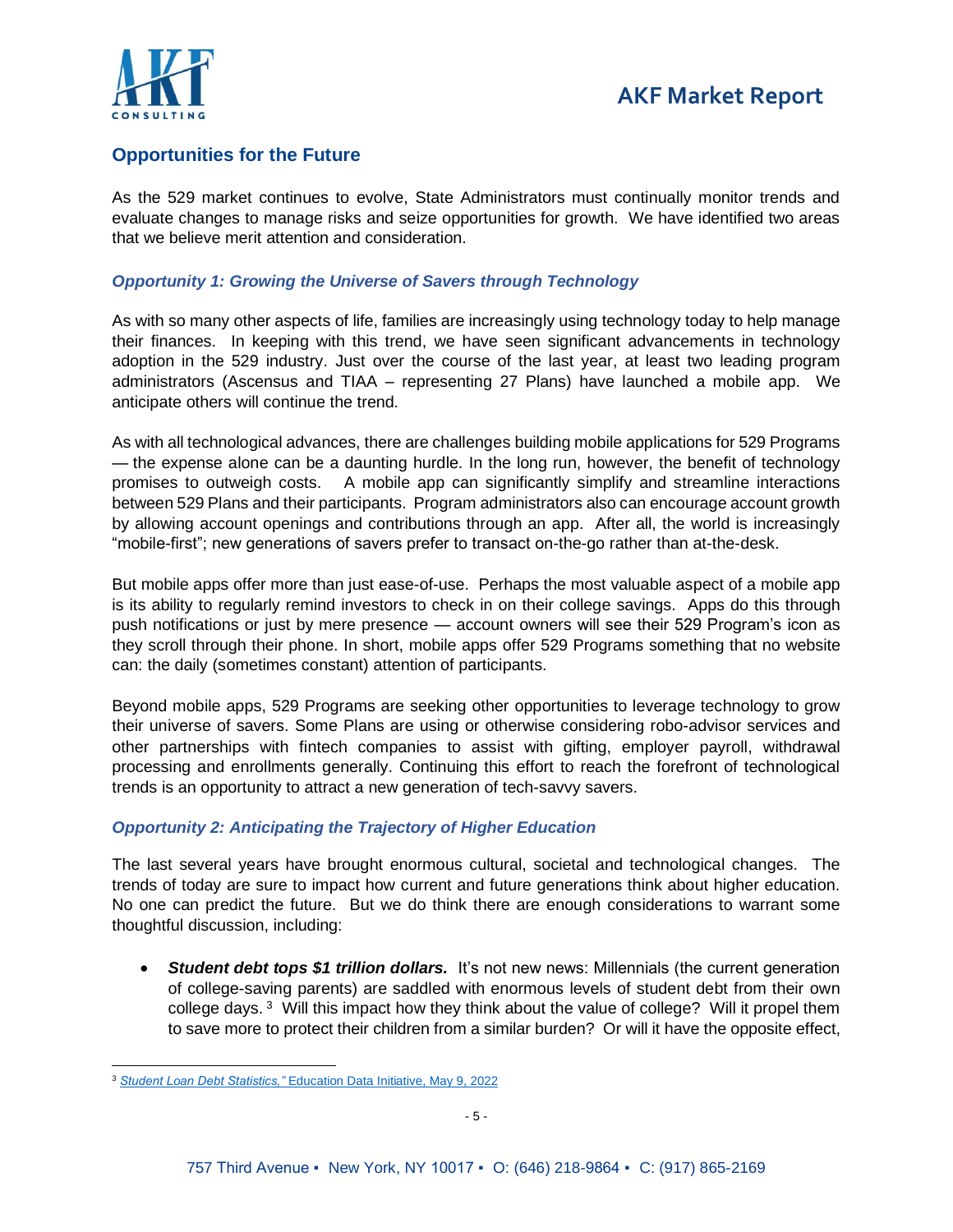

## **Opportunities for the Future**

As the 529 market continues to evolve, State Administrators must continually monitor trends and evaluate changes to manage risks and seize opportunities for growth. We have identified two areas that we believe merit attention and consideration.

#### *Opportunity 1: Growing the Universe of Savers through Technology*

As with so many other aspects of life, families are increasingly using technology today to help manage their finances. In keeping with this trend, we have seen significant advancements in technology adoption in the 529 industry. Just over the course of the last year, at least two leading program administrators (Ascensus and TIAA – representing 27 Plans) have launched a mobile app. We anticipate others will continue the trend.

As with all technological advances, there are challenges building mobile applications for 529 Programs — the expense alone can be a daunting hurdle. In the long run, however, the benefit of technology promises to outweigh costs. A mobile app can significantly simplify and streamline interactions between 529 Plans and their participants. Program administrators also can encourage account growth by allowing account openings and contributions through an app. After all, the world is increasingly "mobile-first"; new generations of savers prefer to transact on-the-go rather than at-the-desk.

But mobile apps offer more than just ease-of-use. Perhaps the most valuable aspect of a mobile app is its ability to regularly remind investors to check in on their college savings. Apps do this through push notifications or just by mere presence — account owners will see their 529 Program's icon as they scroll through their phone. In short, mobile apps offer 529 Programs something that no website can: the daily (sometimes constant) attention of participants.

Beyond mobile apps, 529 Programs are seeking other opportunities to leverage technology to grow their universe of savers. Some Plans are using or otherwise considering robo-advisor services and other partnerships with fintech companies to assist with gifting, employer payroll, withdrawal processing and enrollments generally. Continuing this effort to reach the forefront of technological trends is an opportunity to attract a new generation of tech-savvy savers.

#### *Opportunity 2: Anticipating the Trajectory of Higher Education*

The last several years have brought enormous cultural, societal and technological changes. The trends of today are sure to impact how current and future generations think about higher education. No one can predict the future. But we do think there are enough considerations to warrant some thoughtful discussion, including:

• *Student debt tops \$1 trillion dollars.* It's not new news: Millennials (the current generation of college-saving parents) are saddled with enormous levels of student debt from their own college days.<sup>3</sup> Will this impact how they think about the value of college? Will it propel them to save more to protect their children from a similar burden? Or will it have the opposite effect,

<sup>3</sup> *Student Loan Debt Statistics,"* [Education Data Initiative, May 9, 2022](https://educationdata.org/student-loan-debt-statistics)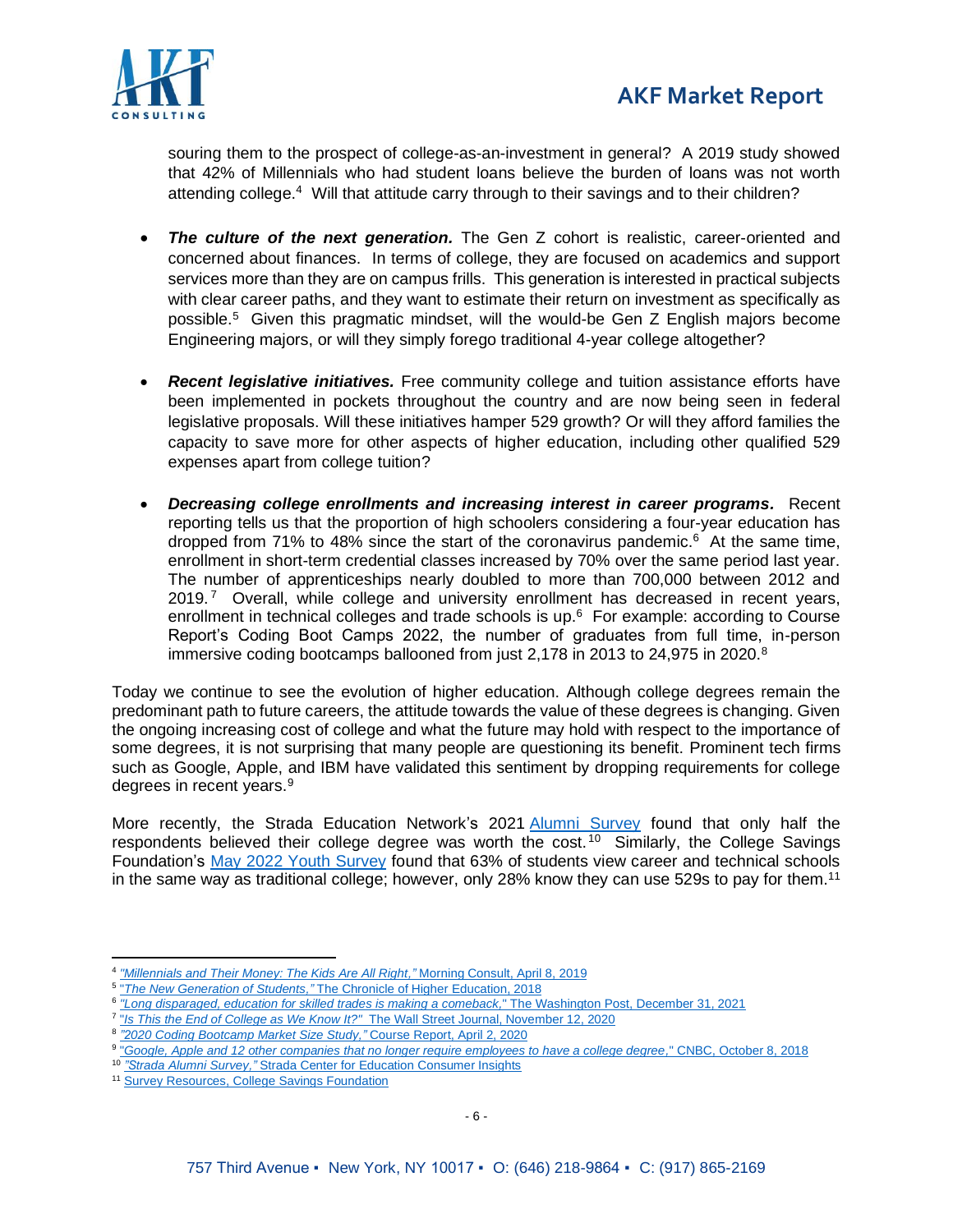

souring them to the prospect of college-as-an-investment in general? A 2019 study showed that 42% of Millennials who had student loans believe the burden of loans was not worth attending college.<sup>4</sup> Will that attitude carry through to their savings and to their children?

- **The culture of the next generation.** The Gen Z cohort is realistic, career-oriented and concerned about finances. In terms of college, they are focused on academics and support services more than they are on campus frills. This generation is interested in practical subjects with clear career paths, and they want to estimate their return on investment as specifically as possible.<sup>5</sup> Given this pragmatic mindset, will the would-be Gen Z English majors become Engineering majors, or will they simply forego traditional 4-year college altogether?
- *Recent legislative initiatives.* Free community college and tuition assistance efforts have been implemented in pockets throughout the country and are now being seen in federal legislative proposals. Will these initiatives hamper 529 growth? Or will they afford families the capacity to save more for other aspects of higher education, including other qualified 529 expenses apart from college tuition?
- <span id="page-5-0"></span>• *Decreasing college enrollments and increasing interest in career programs.* Recent reporting tells us that the proportion of high schoolers considering a four-year education has dropped from 71% to 48% since the start of the coronavirus pandemic. <sup>6</sup> At the same time, enrollment in short-term credential classes increased by 70% over the same period last year. The number of apprenticeships nearly doubled to more than 700,000 between 2012 and  $2019.7$  Overall, while college and university enrollment has decreased in recent years, enrollment in technical colleges and trade schools is up.<sup>[6](#page-5-0)</sup> For example: according to Course Report's Coding Boot Camps 2022, the number of graduates from full time, in-person immersive coding bootcamps ballooned from just 2,178 in 2013 to 24,975 in 2020. $8$

Today we continue to see the evolution of higher education. Although college degrees remain the predominant path to future careers, the attitude towards the value of these degrees is changing. Given the ongoing increasing cost of college and what the future may hold with respect to the importance of some degrees, it is not surprising that many people are questioning its benefit. Prominent tech firms such as Google, Apple, and IBM have validated this sentiment by dropping requirements for college degrees in recent years.<sup>9</sup>

More recently, the Strada Education Network's 2021 [Alumni Survey](https://cci.stradaeducation.org/survey-your-alumni/) found that only half the respondents believed their college degree was worth the cost.<sup>10</sup> Similarly, the College Savings Foundation's [May 2022 Youth Survey](https://www.collegesavingsfoundation.org/wp-content/uploads/2022/05/CSF-INFOGRAPHIC_05_22_PRINT.pdf) found that 63% of students view career and technical schools in the same way as traditional college; however, only 28% know they can use 529s to pay for them.<sup>11</sup>

<sup>4</sup> *["Millennials and Their Money: The Kids Are All Right,"](https://morningconsult.com/2019/04/08/millennials-and-their-money-the-kids-are-all-right/)* Morning Consult, April 8, 2019

<sup>5</sup> "*The New Generation of Students,"* [The Chronicle of Higher Education, 2018](https://highland.edu/wp-content/uploads/2018/12/NewGenerationStudent_i.pdf)

<sup>6</sup> *["Long disparaged, education for skilled trades is making a comeback,](https://www.washingtonpost.com/education/2021/12/31/skilled-trade-education-comeback/)*" The Washington Post, December 31, 2021

<sup>7</sup> "*Is This the End of College as We Know It?"* [The Wall Street Journal, November 12, 2020](https://www.wsj.com/articles/is-this-the-end-of-college-as-we-know-it-11605196909?mod=article_inline)

<sup>8</sup> *["2020 Coding Bootcamp Market Size Study,"](https://www.coursereport.com/reports/2020-coding-bootcamp-market-size-study)* Course Report, April 2, 2020

<sup>9</sup> "*[Google, Apple and 12 other companies that no longer require employees to have a college degree,](https://www.cnbc.com/2018/08/16/15-companies-that-no-longer-require-employees-to-have-a-college-degree.html)*" CNBC, October 8, 2018

<sup>10</sup> *"Strada Alumni Survey,"* [Strada Center for Education Consumer Insights](https://cci.stradaeducation.org/survey-your-alumni/)

<sup>&</sup>lt;sup>11</sup> [Survey Resources, College Savings Foundation](https://www.collegesavingsfoundation.org/surveys/)